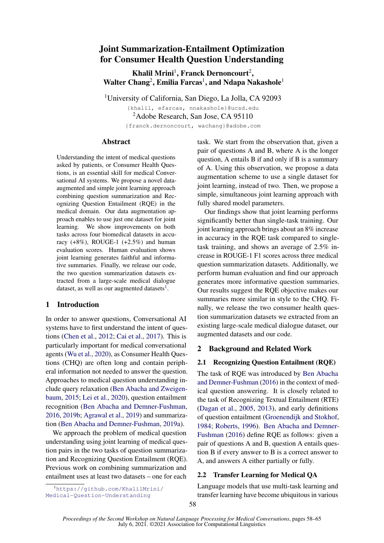# Joint Summarization-Entailment Optimization for Consumer Health Question Understanding

Khalil Mrini<sup>1</sup>, Franck Dernoncourt<sup>2</sup>, Walter Chang<sup>2</sup>, Emilia Farcas<sup>1</sup>, and Ndapa Nakashole<sup>1</sup>

<sup>1</sup>University of California, San Diego, La Jolla, CA 92093

{khalil, efarcas, nnakashole}@ucsd.edu <sup>2</sup>Adobe Research, San Jose, CA 95110 {franck.dernoncourt, wachang}@adobe.com

## Abstract

Understanding the intent of medical questions asked by patients, or Consumer Health Questions, is an essential skill for medical Conversational AI systems. We propose a novel dataaugmented and simple joint learning approach combining question summarization and Recognizing Question Entailment (RQE) in the medical domain. Our data augmentation approach enables to use just one dataset for joint learning. We show improvements on both tasks across four biomedical datasets in accuracy  $(+8\%)$ , ROUGE-1  $(+2.5\%)$  and human evaluation scores. Human evaluation shows joint learning generates faithful and informative summaries. Finally, we release our code, the two question summarization datasets extracted from a large-scale medical dialogue dataset, as well as our augmented datasets $^1$  $^1$ .

## 1 Introduction

In order to answer questions, Conversational AI systems have to first understand the intent of questions [\(Chen et al.,](#page-5-0) [2012;](#page-5-0) [Cai et al.,](#page-5-1) [2017\)](#page-5-1). This is particularly important for medical conversational agents [\(Wu et al.,](#page-6-0) [2020\)](#page-6-0), as Consumer Health Questions (CHQ) are often long and contain peripheral information not needed to answer the question. Approaches to medical question understanding include query relaxation [\(Ben Abacha and Zweigen](#page-5-2)[baum,](#page-5-2) [2015;](#page-5-2) [Lei et al.,](#page-6-1) [2020\)](#page-6-1), question entailment recognition [\(Ben Abacha and Demner-Fushman,](#page-5-3) [2016,](#page-5-3) [2019b;](#page-5-4) [Agrawal et al.,](#page-4-0) [2019\)](#page-4-0) and summarization [\(Ben Abacha and Demner-Fushman,](#page-5-5) [2019a\)](#page-5-5).

We approach the problem of medical question understanding using joint learning of medical question pairs in the two tasks of question summarization and Recognizing Question Entailment (RQE). Previous work on combining summarization and entailment uses at least two datasets – one for each

<span id="page-0-0"></span><sup>1</sup>[https://github.com/KhalilMrini/](https://github.com/KhalilMrini/Medical-Question-Understanding) [Medical-Question-Understanding](https://github.com/KhalilMrini/Medical-Question-Understanding)

task. We start from the observation that, given a pair of questions A and B, where A is the longer question, A entails B if and only if B is a summary of A. Using this observation, we propose a data augmentation scheme to use a single dataset for joint learning, instead of two. Then, we propose a simple, simultaneous joint learning approach with fully shared model parameters.

Our findings show that joint learning performs significantly better than single-task training. Our joint learning approach brings about an 8% increase in accuracy in the RQE task compared to singletask training, and shows an average of 2.5% increase in ROUGE-1 F1 scores across three medical question summarization datasets. Additionally, we perform human evaluation and find our approach generates more informative question summaries. Our results suggest the RQE objective makes our summaries more similar in style to the CHQ. Finally, we release the two consumer health question summarization datasets we extracted from an existing large-scale medical dialogue dataset, our augmented datasets and our code.

## 2 Background and Related Work

## 2.1 Recognizing Question Entailment (RQE)

The task of RQE was introduced by [Ben Abacha](#page-5-3) [and Demner-Fushman](#page-5-3) [\(2016\)](#page-5-3) in the context of medical question answering. It is closely related to the task of Recognizing Textual Entailment (RTE) [\(Dagan et al.,](#page-5-6) [2005,](#page-5-6) [2013\)](#page-5-7), and early definitions of question entailment [\(Groenendijk and Stokhof,](#page-5-8) [1984;](#page-5-8) [Roberts,](#page-6-2) [1996\)](#page-6-2). [Ben Abacha and Demner-](#page-5-3)[Fushman](#page-5-3) [\(2016\)](#page-5-3) define RQE as follows: given a pair of questions A and B, question A entails question B if every answer to B is a correct answer to A, and answers A either partially or fully.

## 2.2 Transfer Learning for Medical QA

Language models that use multi-task learning and transfer learning have become ubiquitous in various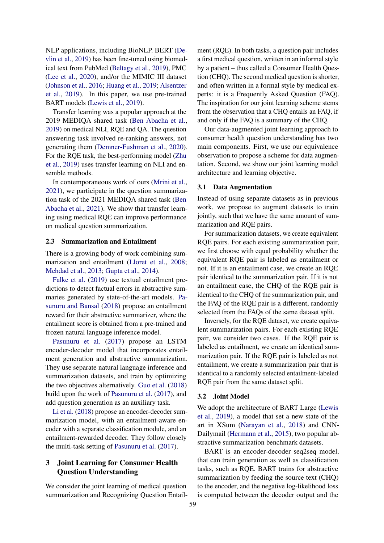NLP applications, including BioNLP. BERT [\(De](#page-5-9)[vlin et al.,](#page-5-9) [2019\)](#page-5-9) has been fine-tuned using biomedical text from PubMed [\(Beltagy et al.,](#page-5-10) [2019\)](#page-5-10), PMC [\(Lee et al.,](#page-6-3) [2020\)](#page-6-3), and/or the MIMIC III dataset [\(Johnson et al.,](#page-6-4) [2016;](#page-6-4) [Huang et al.,](#page-6-5) [2019;](#page-6-5) [Alsentzer](#page-4-1) [et al.,](#page-4-1) [2019\)](#page-4-1). In this paper, we use pre-trained BART models [\(Lewis et al.,](#page-6-6) [2019\)](#page-6-6).

Transfer learning was a popular approach at the 2019 MEDIQA shared task [\(Ben Abacha et al.,](#page-5-11) [2019\)](#page-5-11) on medical NLI, RQE and QA. The question answering task involved re-ranking answers, not generating them [\(Demner-Fushman et al.,](#page-5-12) [2020\)](#page-5-12). For the RQE task, the best-performing model [\(Zhu](#page-7-0) [et al.,](#page-7-0) [2019\)](#page-7-0) uses transfer learning on NLI and ensemble methods.

In contemporaneous work of ours [\(Mrini et al.,](#page-6-7) [2021\)](#page-6-7), we participate in the question summarization task of the 2021 MEDIQA shared task [\(Ben](#page-5-13) [Abacha et al.,](#page-5-13) [2021\)](#page-5-13). We show that transfer learning using medical RQE can improve performance on medical question summarization.

#### 2.3 Summarization and Entailment

There is a growing body of work combining summarization and entailment [\(Lloret et al.,](#page-6-8) [2008;](#page-6-8) [Mehdad et al.,](#page-6-9) [2013;](#page-6-9) [Gupta et al.,](#page-5-14) [2014\)](#page-5-14).

[Falke et al.](#page-5-15) [\(2019\)](#page-5-15) use textual entailment predictions to detect factual errors in abstractive summaries generated by state-of-the-art models. [Pa](#page-6-10)[sunuru and Bansal](#page-6-10) [\(2018\)](#page-6-10) propose an entailment reward for their abstractive summarizer, where the entailment score is obtained from a pre-trained and frozen natural language inference model.

[Pasunuru et al.](#page-6-11) [\(2017\)](#page-6-11) propose an LSTM encoder-decoder model that incorporates entailment generation and abstractive summarization. They use separate natural language inference and summarization datasets, and train by optimizing the two objectives alternatively. [Guo et al.](#page-5-16) [\(2018\)](#page-5-16) build upon the work of [Pasunuru et al.](#page-6-11) [\(2017\)](#page-6-11), and add question generation as an auxiliary task.

[Li et al.](#page-6-12) [\(2018\)](#page-6-12) propose an encoder-decoder summarization model, with an entailment-aware encoder with a separate classification module, and an entailment-rewarded decoder. They follow closely the multi-task setting of [Pasunuru et al.](#page-6-11) [\(2017\)](#page-6-11).

## 3 Joint Learning for Consumer Health Question Understanding

We consider the joint learning of medical question summarization and Recognizing Question Entailment (RQE). In both tasks, a question pair includes a first medical question, written in an informal style by a patient – thus called a Consumer Health Question (CHQ). The second medical question is shorter, and often written in a formal style by medical experts: it is a Frequently Asked Question (FAQ). The inspiration for our joint learning scheme stems from the observation that a CHQ entails an FAQ, if and only if the FAQ is a summary of the CHQ.

Our data-augmented joint learning approach to consumer health question understanding has two main components. First, we use our equivalence observation to propose a scheme for data augmentation. Second, we show our joint learning model architecture and learning objective.

#### 3.1 Data Augmentation

Instead of using separate datasets as in previous work, we propose to augment datasets to train jointly, such that we have the same amount of summarization and RQE pairs.

For summarization datasets, we create equivalent RQE pairs. For each existing summarization pair, we first choose with equal probability whether the equivalent RQE pair is labeled as entailment or not. If it is an entailment case, we create an RQE pair identical to the summarization pair. If it is not an entailment case, the CHQ of the RQE pair is identical to the CHQ of the summarization pair, and the FAQ of the RQE pair is a different, randomly selected from the FAQs of the same dataset split.

Inversely, for the RQE dataset, we create equivalent summarization pairs. For each existing RQE pair, we consider two cases. If the RQE pair is labeled as entailment, we create an identical summarization pair. If the RQE pair is labeled as not entailment, we create a summarization pair that is identical to a randomly selected entailment-labeled RQE pair from the same dataset split.

### 3.2 Joint Model

We adopt the architecture of BART Large [\(Lewis](#page-6-6) [et al.,](#page-6-6) [2019\)](#page-6-6), a model that set a new state of the art in XSum [\(Narayan et al.,](#page-6-13) [2018\)](#page-6-13) and CNN-Dailymail [\(Hermann et al.,](#page-5-17) [2015\)](#page-5-17), two popular abstractive summarization benchmark datasets.

BART is an encoder-decoder seq2seq model, that can train generation as well as classification tasks, such as RQE. BART trains for abstractive summarization by feeding the source text (CHQ) to the encoder, and the negative log-likelihood loss is computed between the decoder output and the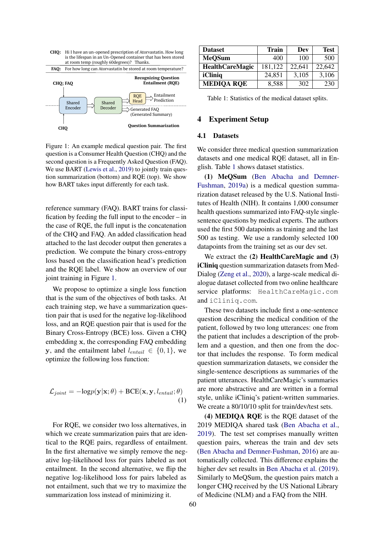<span id="page-2-0"></span>

Figure 1: An example medical question pair. The first question is a Consumer Health Question (CHQ) and the second question is a Frequently Asked Question (FAQ). We use BART [\(Lewis et al.,](#page-6-6) [2019\)](#page-6-6) to jointly train question summarization (bottom) and RQE (top). We show how BART takes input differently for each task.

reference summary (FAQ). BART trains for classification by feeding the full input to the encoder – in the case of RQE, the full input is the concatenation of the CHQ and FAQ. An added classification head attached to the last decoder output then generates a prediction. We compute the binary cross-entropy loss based on the classification head's prediction and the RQE label. We show an overview of our joint training in Figure [1.](#page-2-0)

We propose to optimize a single loss function that is the sum of the objectives of both tasks. At each training step, we have a summarization question pair that is used for the negative log-likelihood loss, and an RQE question pair that is used for the Binary Cross-Entropy (BCE) loss. Given a CHQ embedding x, the corresponding FAQ embedding y, and the entailment label  $l_{entail} \in \{0, 1\}$ , we optimize the following loss function:

<span id="page-2-2"></span>
$$
\mathcal{L}_{joint} = -\text{log}p(\mathbf{y}|\mathbf{x}; \theta) + \text{BCE}(\mathbf{x}, \mathbf{y}, l_{entail}; \theta)
$$
\n(1)

For RQE, we consider two loss alternatives, in which we create summarization pairs that are identical to the RQE pairs, regardless of entailment. In the first alternative we simply remove the negative log-likelihood loss for pairs labeled as not entailment. In the second alternative, we flip the negative log-likelihood loss for pairs labeled as not entailment, such that we try to maximize the summarization loss instead of minimizing it.

<span id="page-2-1"></span>

| <b>Dataset</b>         | <b>Train</b> | Dev    | <b>Test</b> |
|------------------------|--------------|--------|-------------|
| <b>MeQSum</b>          | 400          | 100    | 500         |
| <b>HealthCareMagic</b> | 181,122      | 22.641 | 22,642      |
| iCliniq                | 24,851       | 3,105  | 3,106       |
| <b>MEDIQA RQE</b>      | 8,588        | 302    | 230         |

Table 1: Statistics of the medical dataset splits.

### 4 Experiment Setup

### 4.1 Datasets

We consider three medical question summarization datasets and one medical RQE dataset, all in English. Table [1](#page-2-1) shows dataset statistics.

(1) MeQSum [\(Ben Abacha and Demner-](#page-5-5)[Fushman,](#page-5-5) [2019a\)](#page-5-5) is a medical question summarization dataset released by the U.S. National Institutes of Health (NIH). It contains 1,000 consumer health questions summarized into FAQ-style singlesentence questions by medical experts. The authors used the first 500 datapoints as training and the last 500 as testing. We use a randomly selected 100 datapoints from the training set as our dev set.

We extract the (2) HealthCareMagic and (3) iCliniq question summarization datasets from Med-Dialog [\(Zeng et al.,](#page-6-14) [2020\)](#page-6-14), a large-scale medical dialogue dataset collected from two online healthcare service platforms: HealthCareMagic.com and iCliniq.com.

These two datasets include first a one-sentence question describing the medical condition of the patient, followed by two long utterances: one from the patient that includes a description of the problem and a question, and then one from the doctor that includes the response. To form medical question summarization datasets, we consider the single-sentence descriptions as summaries of the patient utterances. HealthCareMagic's summaries are more abstractive and are written in a formal style, unlike iCliniq's patient-written summaries. We create a 80/10/10 split for train/dev/test sets.

(4) MEDIQA RQE is the RQE dataset of the 2019 MEDIQA shared task [\(Ben Abacha et al.,](#page-5-11) [2019\)](#page-5-11). The test set comprises manually written question pairs, whereas the train and dev sets [\(Ben Abacha and Demner-Fushman,](#page-5-3) [2016\)](#page-5-3) are automatically collected. This difference explains the higher dev set results in [Ben Abacha et al.](#page-5-11) [\(2019\)](#page-5-11). Similarly to MeQSum, the question pairs match a longer CHQ received by the US National Library of Medicine (NLM) and a FAQ from the NIH.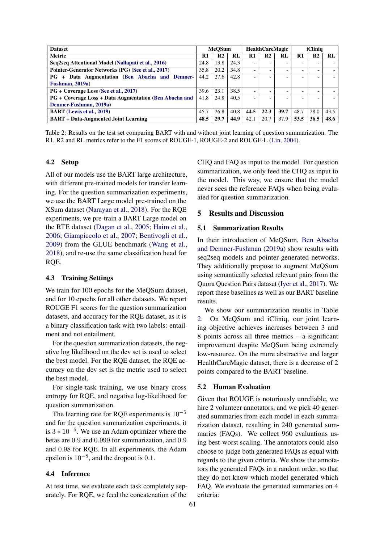<span id="page-3-0"></span>

| <b>Dataset</b>                                         | <b>MeOSum</b> |                | <b>HealthCareMagic</b> |      | iClinia        |      |      |                |      |
|--------------------------------------------------------|---------------|----------------|------------------------|------|----------------|------|------|----------------|------|
| <b>Metric</b>                                          | R1            | R <sub>2</sub> | RL                     | R1   | R <sub>2</sub> | RL   | R1   | R <sub>2</sub> | RL   |
| Seq2seq Attentional Model (Nallapati et al., 2016)     | 24.8          | 13.8           | 24.3                   |      |                |      |      |                |      |
| Pointer-Generator Networks (PG) (See et al., 2017)     | 35.8          | 20.2           | 34.8                   |      |                |      |      |                |      |
| PG + Data Augmentation (Ben Abacha and Demner-         | 44.2          | 27.6           | 42.8                   |      |                |      |      |                |      |
| Fushman, 2019a)                                        |               |                |                        |      |                |      |      |                |      |
| PG + Coverage Loss (See et al., 2017)                  | 39.6          | 23.1           | 38.5                   |      |                |      |      |                |      |
| PG + Coverage Loss + Data Augmentation (Ben Abacha and | 41.8          | 24.8           | 40.5                   |      |                |      |      |                |      |
| Demner-Fushman, 2019a)                                 |               |                |                        |      |                |      |      |                |      |
| <b>BART</b> (Lewis et al., 2019)                       | 45.7          | 26.8           | 40.8                   | 44.5 | 22.3           | 39.7 | 48.7 | 28.0           | 43.5 |
| <b>BART + Data-Augmented Joint Learning</b>            | 48.5          | 29.7           | 44.9                   | 42.1 | 20.7           | 37.9 | 53.5 | 36.5           | 48.6 |

Table 2: Results on the test set comparing BART with and without joint learning of question summarization. The R1, R2 and RL metrics refer to the F1 scores of ROUGE-1, ROUGE-2 and ROUGE-L [\(Lin,](#page-6-17) [2004\)](#page-6-17).

#### 4.2 Setup

All of our models use the BART large architecture, with different pre-trained models for transfer learning. For the question summarization experiments, we use the BART Large model pre-trained on the XSum dataset [\(Narayan et al.,](#page-6-13) [2018\)](#page-6-13). For the RQE experiments, we pre-train a BART Large model on the RTE dataset [\(Dagan et al.,](#page-5-6) [2005;](#page-5-6) [Haim et al.,](#page-5-18) [2006;](#page-5-18) [Giampiccolo et al.,](#page-5-19) [2007;](#page-5-19) [Bentivogli et al.,](#page-5-20) [2009\)](#page-5-20) from the GLUE benchmark [\(Wang et al.,](#page-6-18) [2018\)](#page-6-18), and re-use the same classification head for RQE.

## 4.3 Training Settings

We train for 100 epochs for the MeQSum dataset, and for 10 epochs for all other datasets. We report ROUGE F1 scores for the question summarization datasets, and accuracy for the RQE dataset, as it is a binary classification task with two labels: entailment and not entailment.

For the question summarization datasets, the negative log likelihood on the dev set is used to select the best model. For the RQE dataset, the RQE accuracy on the dev set is the metric used to select the best model.

For single-task training, we use binary cross entropy for RQE, and negative log-likelihood for question summarization.

The learning rate for RQE experiments is  $10^{-5}$ and for the question summarization experiments, it is  $3 * 10^{-5}$ . We use an Adam optimizer where the betas are 0.9 and 0.999 for summarization, and 0.9 and 0.98 for RQE. In all experiments, the Adam epsilon is  $10^{-8}$ , and the dropout is 0.1.

### 4.4 Inference

At test time, we evaluate each task completely separately. For RQE, we feed the concatenation of the CHQ and FAQ as input to the model. For question summarization, we only feed the CHQ as input to the model. This way, we ensure that the model never sees the reference FAQs when being evaluated for question summarization.

### 5 Results and Discussion

#### 5.1 Summarization Results

In their introduction of MeQSum, [Ben Abacha](#page-5-5) [and Demner-Fushman](#page-5-5) [\(2019a\)](#page-5-5) show results with seq2seq models and pointer-generated networks. They additionally propose to augment MeQSum using semantically selected relevant pairs from the Quora Question Pairs dataset [\(Iyer et al.,](#page-6-19) [2017\)](#page-6-19). We report these baselines as well as our BART baseline results.

We show our summarization results in Table [2.](#page-3-0) On MeQSum and iCliniq, our joint learning objective achieves increases between 3 and 8 points across all three metrics – a significant improvement despite MeQSum being extremely low-resource. On the more abstractive and larger HealthCareMagic dataset, there is a decrease of 2 points compared to the BART baseline.

#### 5.2 Human Evaluation

Given that ROUGE is notoriously unreliable, we hire 2 volunteer annotators, and we pick 40 generated summaries from each model in each summarization dataset, resulting in 240 generated summaries (FAQs). We collect 960 evaluations using best-worst scaling. The annotators could also choose to judge both generated FAQs as equal with regards to the given criteria. We show the annotators the generated FAQs in a random order, so that they do not know which model generated which FAQ. We evaluate the generated summaries on 4 criteria: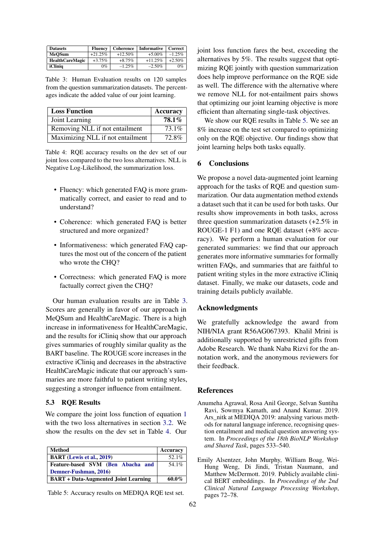<span id="page-4-2"></span>

| <b>Datasets</b>        | Fluency   | Coherence | <b>Informative</b> | Correct   |
|------------------------|-----------|-----------|--------------------|-----------|
| MeOSum                 | $+21.25%$ | $+12.50%$ | $+5.00\%$          | $-1.25%$  |
| <b>HealthCareMagic</b> | $+3.75\%$ | $+8.75%$  | $+11.25%$          | $+2.50\%$ |
| iCliniq                | $0\%$     | $-1.25%$  | $-2.50\%$          | $0\%$     |

Table 3: Human Evaluation results on 120 samples from the question summarization datasets. The percentages indicate the added value of our joint learning.

<span id="page-4-3"></span>

| <b>Loss Function</b>             | <b>Accuracy</b> |
|----------------------------------|-----------------|
| Joint Learning                   | $78.1\%$        |
| Removing NLL if not entailment   | 73.1%           |
| Maximizing NLL if not entailment | 72.8%           |

Table 4: RQE accuracy results on the dev set of our joint loss compared to the two loss alternatives. NLL is Negative Log-Likelihood, the summarization loss.

- Fluency: which generated FAO is more grammatically correct, and easier to read and to understand?
- Coherence: which generated FAQ is better structured and more organized?
- Informativeness: which generated FAQ captures the most out of the concern of the patient who wrote the CHQ?
- Correctness: which generated FAQ is more factually correct given the CHQ?

Our human evaluation results are in Table [3.](#page-4-2) Scores are generally in favor of our approach in MeQSum and HealthCareMagic. There is a high increase in informativeness for HealthCareMagic, and the results for iCliniq show that our approach gives summaries of roughly similar quality as the BART baseline. The ROUGE score increases in the extractive iCliniq and decreases in the abstractive HealthCareMagic indicate that our approach's summaries are more faithful to patient writing styles, suggesting a stronger influence from entailment.

#### 5.3 RQE Results

We compare the joint loss function of equation [1](#page-2-2) with the two loss alternatives in section [3.2.](#page-2-2) We show the results on the dev set in Table [4.](#page-4-3) Our

<span id="page-4-4"></span>

| <b>Method</b>                               | <b>Accuracy</b> |
|---------------------------------------------|-----------------|
| <b>BART</b> (Lewis et al., 2019)            | 52.1%           |
| Feature-based SVM (Ben Abacha and           | 54.1%           |
| Demner-Fushman, 2016)                       |                 |
| <b>BART</b> + Data-Augmented Joint Learning | 60.0%           |

Table 5: Accuracy results on MEDIQA RQE test set.

joint loss function fares the best, exceeding the alternatives by 5%. The results suggest that optimizing RQE jointly with question summarization does help improve performance on the RQE side as well. The difference with the alternative where we remove NLL for not-entailment pairs shows that optimizing our joint learning objective is more efficient than alternating single-task objectives.

We show our RQE results in Table [5.](#page-4-4) We see an 8% increase on the test set compared to optimizing only on the RQE objective. Our findings show that joint learning helps both tasks equally.

## 6 Conclusions

We propose a novel data-augmented joint learning approach for the tasks of RQE and question summarization. Our data augmentation method extends a dataset such that it can be used for both tasks. Our results show improvements in both tasks, across three question summarization datasets (+2.5% in ROUGE-1 F1) and one RQE dataset (+8% accuracy). We perform a human evaluation for our generated summaries: we find that our approach generates more informative summaries for formally written FAQs, and summaries that are faithful to patient writing styles in the more extractive iCliniq dataset. Finally, we make our datasets, code and training details publicly available.

## Acknowledgments

We gratefully acknowledge the award from NIH/NIA grant R56AG067393. Khalil Mrini is additionally supported by unrestricted gifts from Adobe Research. We thank Naba Rizvi for the annotation work, and the anonymous reviewers for their feedback.

#### References

- <span id="page-4-0"></span>Anumeha Agrawal, Rosa Anil George, Selvan Suntiha Ravi, Sowmya Kamath, and Anand Kumar. 2019. Ars nitk at MEDIQA 2019: analysing various methods for natural language inference, recognising question entailment and medical question answering system. In *Proceedings of the 18th BioNLP Workshop and Shared Task*, pages 533–540.
- <span id="page-4-1"></span>Emily Alsentzer, John Murphy, William Boag, Wei-Hung Weng, Di Jindi, Tristan Naumann, and Matthew McDermott. 2019. Publicly available clinical BERT embeddings. In *Proceedings of the 2nd Clinical Natural Language Processing Workshop*, pages 72–78.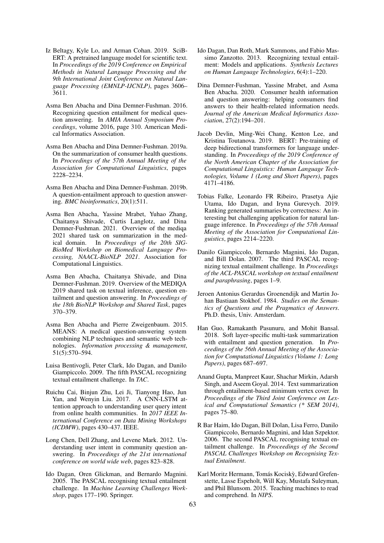- <span id="page-5-10"></span>Iz Beltagy, Kyle Lo, and Arman Cohan. 2019. SciB-ERT: A pretrained language model for scientific text. In *Proceedings of the 2019 Conference on Empirical Methods in Natural Language Processing and the 9th International Joint Conference on Natural Language Processing (EMNLP-IJCNLP)*, pages 3606– 3611.
- <span id="page-5-3"></span>Asma Ben Abacha and Dina Demner-Fushman. 2016. Recognizing question entailment for medical question answering. In *AMIA Annual Symposium Proceedings*, volume 2016, page 310. American Medical Informatics Association.
- <span id="page-5-5"></span>Asma Ben Abacha and Dina Demner-Fushman. 2019a. On the summarization of consumer health questions. In *Proceedings of the 57th Annual Meeting of the Association for Computational Linguistics*, pages 2228–2234.
- <span id="page-5-4"></span>Asma Ben Abacha and Dina Demner-Fushman. 2019b. A question-entailment approach to question answering. *BMC bioinformatics*, 20(1):511.
- <span id="page-5-13"></span>Asma Ben Abacha, Yassine Mrabet, Yuhao Zhang, Chaitanya Shivade, Curtis Langlotz, and Dina Demner-Fushman. 2021. Overview of the mediqa 2021 shared task on summarization in the medical domain. In *Proceedings of the 20th SIG-BioMed Workshop on Biomedical Language Processing, NAACL-BioNLP 2021*. Association for Computational Linguistics.
- <span id="page-5-11"></span>Asma Ben Abacha, Chaitanya Shivade, and Dina Demner-Fushman. 2019. Overview of the MEDIQA 2019 shared task on textual inference, question entailment and question answering. In *Proceedings of the 18th BioNLP Workshop and Shared Task*, pages 370–379.
- <span id="page-5-2"></span>Asma Ben Abacha and Pierre Zweigenbaum. 2015. MEANS: A medical question-answering system combining NLP techniques and semantic web technologies. *Information processing & management*, 51(5):570–594.
- <span id="page-5-20"></span>Luisa Bentivogli, Peter Clark, Ido Dagan, and Danilo Giampiccolo. 2009. The fifth PASCAL recognizing textual entailment challenge. In *TAC*.
- <span id="page-5-1"></span>Ruichu Cai, Binjun Zhu, Lei Ji, Tianyong Hao, Jun Yan, and Wenyin Liu. 2017. A CNN-LSTM attention approach to understanding user query intent from online health communities. In *2017 IEEE International Conference on Data Mining Workshops (ICDMW)*, pages 430–437. IEEE.
- <span id="page-5-0"></span>Long Chen, Dell Zhang, and Levene Mark. 2012. Understanding user intent in community question answering. In *Proceedings of the 21st international conference on world wide web*, pages 823–828.
- <span id="page-5-6"></span>Ido Dagan, Oren Glickman, and Bernardo Magnini. 2005. The PASCAL recognising textual entailment challenge. In *Machine Learning Challenges Workshop*, pages 177–190. Springer.
- <span id="page-5-7"></span>Ido Dagan, Dan Roth, Mark Sammons, and Fabio Massimo Zanzotto. 2013. Recognizing textual entailment: Models and applications. *Synthesis Lectures on Human Language Technologies*, 6(4):1–220.
- <span id="page-5-12"></span>Dina Demner-Fushman, Yassine Mrabet, and Asma Ben Abacha. 2020. Consumer health information and question answering: helping consumers find answers to their health-related information needs. *Journal of the American Medical Informatics Association*, 27(2):194–201.
- <span id="page-5-9"></span>Jacob Devlin, Ming-Wei Chang, Kenton Lee, and Kristina Toutanova. 2019. BERT: Pre-training of deep bidirectional transformers for language understanding. In *Proceedings of the 2019 Conference of the North American Chapter of the Association for Computational Linguistics: Human Language Technologies, Volume 1 (Long and Short Papers)*, pages 4171–4186.
- <span id="page-5-15"></span>Tobias Falke, Leonardo FR Ribeiro, Prasetya Ajie Utama, Ido Dagan, and Iryna Gurevych. 2019. Ranking generated summaries by correctness: An interesting but challenging application for natural language inference. In *Proceedings of the 57th Annual Meeting of the Association for Computational Linguistics*, pages 2214–2220.
- <span id="page-5-19"></span>Danilo Giampiccolo, Bernardo Magnini, Ido Dagan, and Bill Dolan. 2007. The third PASCAL recognizing textual entailment challenge. In *Proceedings of the ACL-PASCAL workshop on textual entailment and paraphrasing*, pages 1–9.
- <span id="page-5-8"></span>Jeroen Antonius Gerardus Groenendijk and Martin Johan Bastiaan Stokhof. 1984. *Studies on the Semantics of Questions and the Pragmatics of Answers*. Ph.D. thesis, Univ. Amsterdam.
- <span id="page-5-16"></span>Han Guo, Ramakanth Pasunuru, and Mohit Bansal. 2018. Soft layer-specific multi-task summarization with entailment and question generation. In *Proceedings of the 56th Annual Meeting of the Association for Computational Linguistics (Volume 1: Long Papers)*, pages 687–697.
- <span id="page-5-14"></span>Anand Gupta, Manpreet Kaur, Shachar Mirkin, Adarsh Singh, and Aseem Goyal. 2014. Text summarization through entailment-based minimum vertex cover. In *Proceedings of the Third Joint Conference on Lexical and Computational Semantics (\* SEM 2014)*, pages 75–80.
- <span id="page-5-18"></span>R Bar Haim, Ido Dagan, Bill Dolan, Lisa Ferro, Danilo Giampiccolo, Bernardo Magnini, and Idan Szpektor. 2006. The second PASCAL recognising textual entailment challenge. In *Proceedings of the Second PASCAL Challenges Workshop on Recognising Textual Entailment*.
- <span id="page-5-17"></span>Karl Moritz Hermann, Tomás Kocisky, Edward Grefen- ` stette, Lasse Espeholt, Will Kay, Mustafa Suleyman, and Phil Blunsom. 2015. Teaching machines to read and comprehend. In *NIPS*.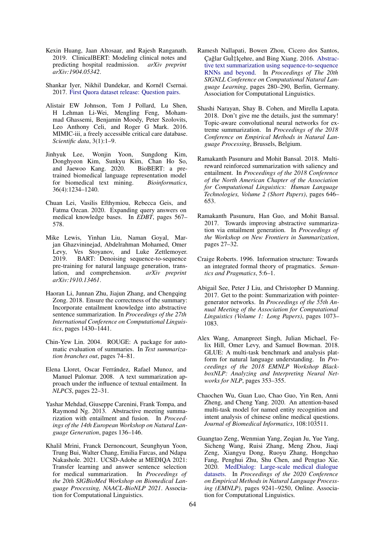- <span id="page-6-5"></span>Kexin Huang, Jaan Altosaar, and Rajesh Ranganath. 2019. ClinicalBERT: Modeling clinical notes and predicting hospital readmission. *arXiv preprint arXiv:1904.05342*.
- <span id="page-6-19"></span>Shankar Iyer, Nikhil Dandekar, and Kornél Csernai. 2017. [First Quora dataset release: Question pairs.](https://www.quora.com/q/quoradata/First-Quora-Dataset-Release-Question-Pairs)
- <span id="page-6-4"></span>Alistair EW Johnson, Tom J Pollard, Lu Shen, H Lehman Li-Wei, Mengling Feng, Mohammad Ghassemi, Benjamin Moody, Peter Szolovits, Leo Anthony Celi, and Roger G Mark. 2016. MIMIC-iii, a freely accessible critical care database. *Scientific data*, 3(1):1–9.
- <span id="page-6-3"></span>Jinhyuk Lee, Wonjin Yoon, Sungdong Kim, Donghyeon Kim, Sunkyu Kim, Chan Ho So, and Jaewoo Kang. 2020. BioBERT: a pretrained biomedical language representation model for biomedical text mining. *Bioinformatics*, 36(4):1234–1240.
- <span id="page-6-1"></span>Chuan Lei, Vasilis Efthymiou, Rebecca Geis, and Fatma Ozcan. 2020. Expanding query answers on medical knowledge bases. In *EDBT*, pages 567– 578.
- <span id="page-6-6"></span>Mike Lewis, Yinhan Liu, Naman Goyal, Marjan Ghazvininejad, Abdelrahman Mohamed, Omer Levy, Ves Stoyanov, and Luke Zettlemoyer. 2019. BART: Denoising sequence-to-sequence pre-training for natural language generation, translation, and comprehension. *arXiv preprint arXiv:1910.13461*.
- <span id="page-6-12"></span>Haoran Li, Junnan Zhu, Jiajun Zhang, and Chengqing Zong. 2018. Ensure the correctness of the summary: Incorporate entailment knowledge into abstractive sentence summarization. In *Proceedings of the 27th International Conference on Computational Linguistics*, pages 1430–1441.
- <span id="page-6-17"></span>Chin-Yew Lin. 2004. ROUGE: A package for automatic evaluation of summaries. In *Text summarization branches out*, pages 74–81.
- <span id="page-6-8"></span>Elena Lloret, Oscar Ferrández, Rafael Munoz, and Manuel Palomar. 2008. A text summarization approach under the influence of textual entailment. In *NLPCS*, pages 22–31.
- <span id="page-6-9"></span>Yashar Mehdad, Giuseppe Carenini, Frank Tompa, and Raymond Ng. 2013. Abstractive meeting summarization with entailment and fusion. In *Proceedings of the 14th European Workshop on Natural Language Generation*, pages 136–146.
- <span id="page-6-7"></span>Khalil Mrini, Franck Dernoncourt, Seunghyun Yoon, Trung Bui, Walter Chang, Emilia Farcas, and Ndapa Nakashole. 2021. UCSD-Adobe at MEDIQA 2021: Transfer learning and answer sentence selection for medical summarization. In *Proceedings of the 20th SIGBioMed Workshop on Biomedical Language Processing, NAACL-BioNLP 2021*. Association for Computational Linguistics.
- <span id="page-6-15"></span>Ramesh Nallapati, Bowen Zhou, Cicero dos Santos, Çağlar Gu̇lçehre, and Bing Xiang. 2016. [Abstrac](https://doi.org/10.18653/v1/K16-1028)[tive text summarization using sequence-to-sequence](https://doi.org/10.18653/v1/K16-1028) [RNNs and beyond.](https://doi.org/10.18653/v1/K16-1028) In *Proceedings of The 20th SIGNLL Conference on Computational Natural Language Learning*, pages 280–290, Berlin, Germany. Association for Computational Linguistics.
- <span id="page-6-13"></span>Shashi Narayan, Shay B. Cohen, and Mirella Lapata. 2018. Don't give me the details, just the summary! Topic-aware convolutional neural networks for extreme summarization. In *Proceedings of the 2018 Conference on Empirical Methods in Natural Language Processing*, Brussels, Belgium.
- <span id="page-6-10"></span>Ramakanth Pasunuru and Mohit Bansal. 2018. Multireward reinforced summarization with saliency and entailment. In *Proceedings of the 2018 Conference of the North American Chapter of the Association for Computational Linguistics: Human Language Technologies, Volume 2 (Short Papers)*, pages 646– 653.
- <span id="page-6-11"></span>Ramakanth Pasunuru, Han Guo, and Mohit Bansal. 2017. Towards improving abstractive summarization via entailment generation. In *Proceedings of the Workshop on New Frontiers in Summarization*, pages 27–32.
- <span id="page-6-2"></span>Craige Roberts. 1996. Information structure: Towards an integrated formal theory of pragmatics. *Semantics and Pragmatics*, 5:6–1.
- <span id="page-6-16"></span>Abigail See, Peter J Liu, and Christopher D Manning. 2017. Get to the point: Summarization with pointergenerator networks. In *Proceedings of the 55th Annual Meeting of the Association for Computational Linguistics (Volume 1: Long Papers)*, pages 1073– 1083.
- <span id="page-6-18"></span>Alex Wang, Amanpreet Singh, Julian Michael, Felix Hill, Omer Levy, and Samuel Bowman. 2018. GLUE: A multi-task benchmark and analysis platform for natural language understanding. In *Proceedings of the 2018 EMNLP Workshop BlackboxNLP: Analyzing and Interpreting Neural Networks for NLP*, pages 353–355.
- <span id="page-6-0"></span>Chaochen Wu, Guan Luo, Chao Guo, Yin Ren, Anni Zheng, and Cheng Yang. 2020. An attention-based multi-task model for named entity recognition and intent analysis of chinese online medical questions. *Journal of Biomedical Informatics*, 108:103511.
- <span id="page-6-14"></span>Guangtao Zeng, Wenmian Yang, Zeqian Ju, Yue Yang, Sicheng Wang, Ruisi Zhang, Meng Zhou, Jiaqi Zeng, Xiangyu Dong, Ruoyu Zhang, Hongchao Fang, Penghui Zhu, Shu Chen, and Pengtao Xie. 2020. [MedDialog: Large-scale medical dialogue](https://doi.org/10.18653/v1/2020.emnlp-main.743) [datasets.](https://doi.org/10.18653/v1/2020.emnlp-main.743) In *Proceedings of the 2020 Conference on Empirical Methods in Natural Language Processing (EMNLP)*, pages 9241–9250, Online. Association for Computational Linguistics.